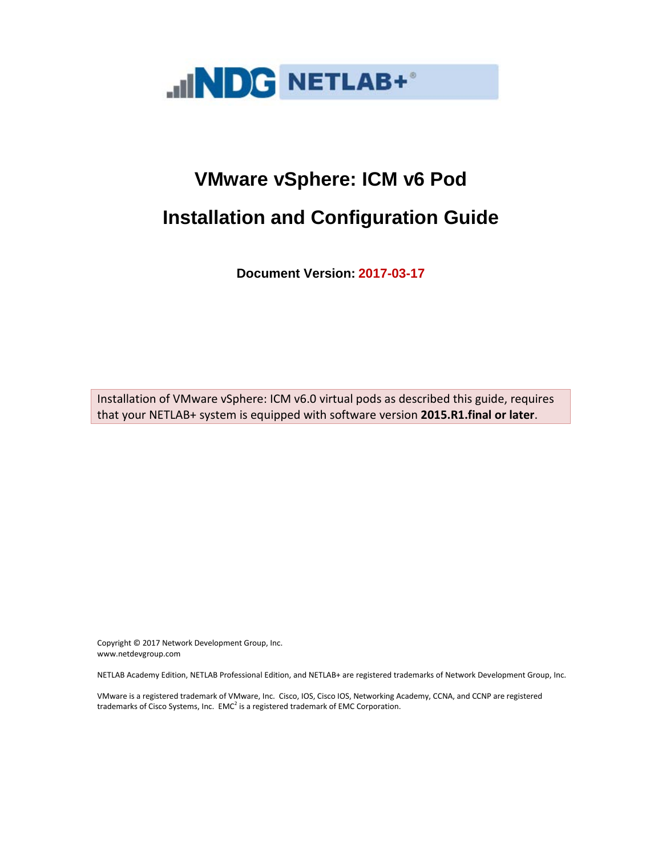

**Document Version: 2017-03-17**

Installation of VMware vSphere: ICM v6.0 virtual pods as described this guide, requires that your NETLAB+ system is equipped with software version **2015.R1.final or later**.

Copyright © 2017 Network Development Group, Inc. www.netdevgroup.com

NETLAB Academy Edition, NETLAB Professional Edition, and NETLAB+ are registered trademarks of Network Development Group, Inc.

VMware is a registered trademark of VMware, Inc. Cisco, IOS, Cisco IOS, Networking Academy, CCNA, and CCNP are registered trademarks of Cisco Systems, Inc.  $EMC<sup>2</sup>$  is a registered trademark of EMC Corporation.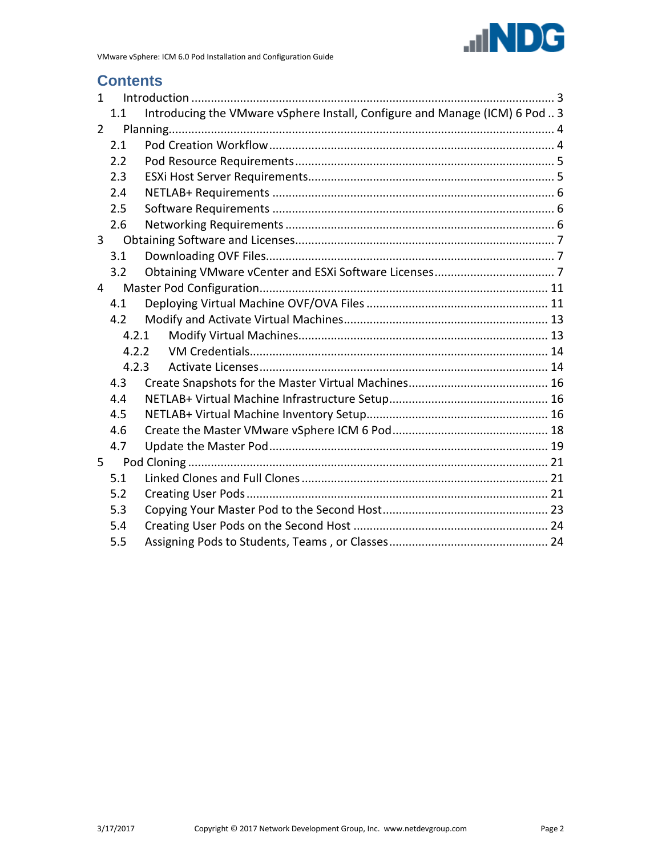

# **Contents**

| $\mathbf{1}$   |       |                                                                             |  |
|----------------|-------|-----------------------------------------------------------------------------|--|
|                | 1.1   | Introducing the VMware vSphere Install, Configure and Manage (ICM) 6 Pod  3 |  |
| $\overline{2}$ |       |                                                                             |  |
|                | 2.1   |                                                                             |  |
|                | 2.2   |                                                                             |  |
|                | 2.3   |                                                                             |  |
|                | 2.4   |                                                                             |  |
|                | 2.5   |                                                                             |  |
|                | 2.6   |                                                                             |  |
| 3              |       |                                                                             |  |
|                | 3.1   |                                                                             |  |
|                | 3.2   |                                                                             |  |
| 4              |       |                                                                             |  |
|                | 4.1   |                                                                             |  |
|                | 4.2   |                                                                             |  |
|                | 4.2.1 |                                                                             |  |
|                | 4.2.2 |                                                                             |  |
|                | 4.2.3 |                                                                             |  |
|                | 4.3   |                                                                             |  |
|                | 4.4   |                                                                             |  |
|                | 4.5   |                                                                             |  |
|                | 4.6   |                                                                             |  |
|                | 4.7   |                                                                             |  |
| 5              |       |                                                                             |  |
|                | 5.1   |                                                                             |  |
|                | 5.2   |                                                                             |  |
|                | 5.3   |                                                                             |  |
|                | 5.4   |                                                                             |  |
|                | 5.5   |                                                                             |  |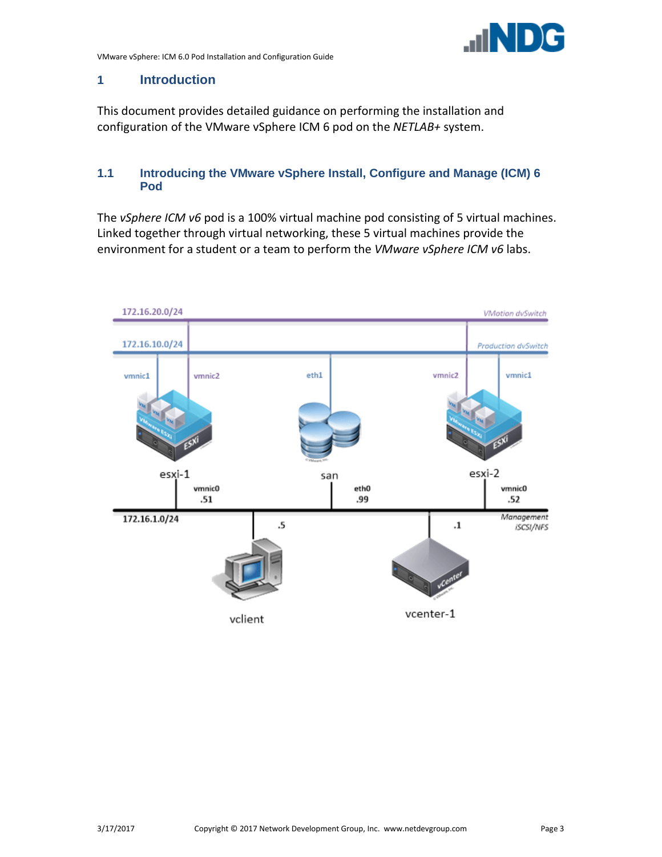

# <span id="page-2-0"></span>**1 Introduction**

This document provides detailed guidance on performing the installation and configuration of the VMware vSphere ICM 6 pod on the *NETLAB+* system.

#### <span id="page-2-1"></span>**1.1 Introducing the VMware vSphere Install, Configure and Manage (ICM) 6 Pod**

The *vSphere ICM v6* pod is a 100% virtual machine pod consisting of 5 virtual machines. Linked together through virtual networking, these 5 virtual machines provide the environment for a student or a team to perform the *VMware vSphere ICM v6* labs.

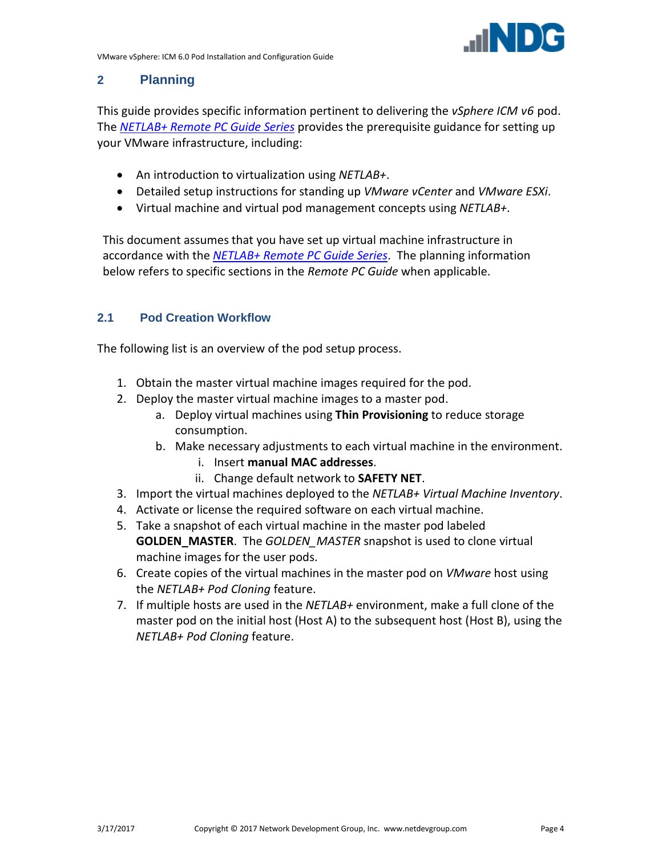# <span id="page-3-0"></span>**2 Planning**

This guide provides specific information pertinent to delivering the *vSphere ICM v6* pod. The *[NETLAB+ Remote PC Guide Series](http://www.netdevgroup.com/support/documentation)* provides the prerequisite guidance for setting up your VMware infrastructure, including:

- An introduction to virtualization using *NETLAB+*.
- Detailed setup instructions for standing up *VMware vCenter* and *VMware ESXi*.
- Virtual machine and virtual pod management concepts using *NETLAB+*.

This document assumes that you have set up virtual machine infrastructure in accordance with the *[NETLAB+ Remote PC Guide Series](http://www.netdevgroup.com/support/documentation)*. The planning information below refers to specific sections in the *Remote PC Guide* when applicable.

#### <span id="page-3-1"></span>**2.1 Pod Creation Workflow**

The following list is an overview of the pod setup process.

- 1. Obtain the master virtual machine images required for the pod.
- 2. Deploy the master virtual machine images to a master pod.
	- a. Deploy virtual machines using **Thin Provisioning** to reduce storage consumption.
	- b. Make necessary adjustments to each virtual machine in the environment.
		- i. Insert **manual MAC addresses**.
		- ii. Change default network to **SAFETY NET**.
- 3. Import the virtual machines deployed to the *NETLAB+ Virtual Machine Inventory*.
- 4. Activate or license the required software on each virtual machine.
- 5. Take a snapshot of each virtual machine in the master pod labeled **GOLDEN\_MASTER**. The *GOLDEN\_MASTER* snapshot is used to clone virtual machine images for the user pods.
- 6. Create copies of the virtual machines in the master pod on *VMware* host using the *NETLAB+ Pod Cloning* feature.
- 7. If multiple hosts are used in the *NETLAB+* environment, make a full clone of the master pod on the initial host (Host A) to the subsequent host (Host B), using the *NETLAB+ Pod Cloning* feature.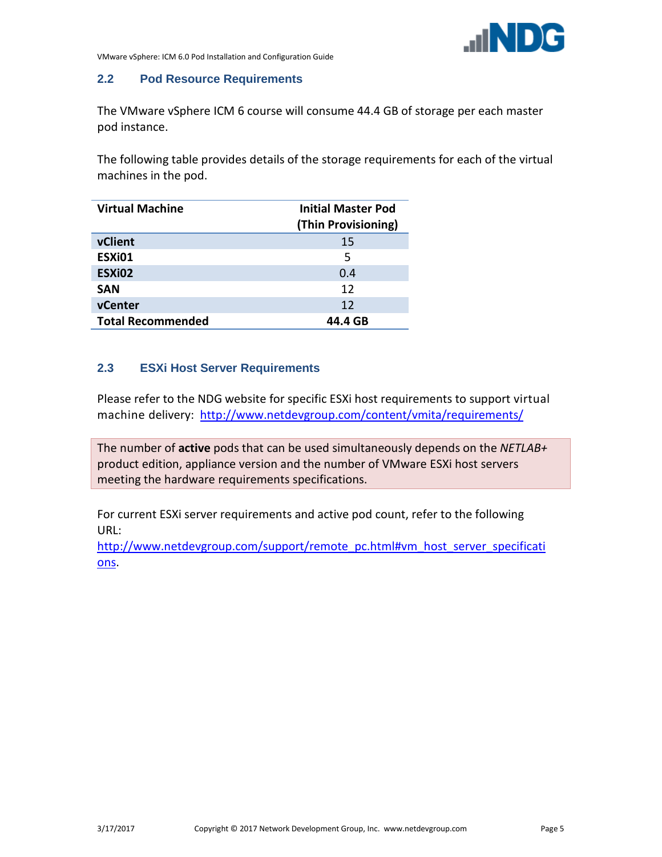

#### <span id="page-4-0"></span>**2.2 Pod Resource Requirements**

The VMware vSphere ICM 6 course will consume 44.4 GB of storage per each master pod instance.

The following table provides details of the storage requirements for each of the virtual machines in the pod.

| <b>Virtual Machine</b>   | <b>Initial Master Pod</b><br>(Thin Provisioning) |
|--------------------------|--------------------------------------------------|
| vClient                  | 15                                               |
| ESXi01                   | 5                                                |
| ESXi02                   | 0.4                                              |
| <b>SAN</b>               | 12                                               |
| vCenter                  | 12                                               |
| <b>Total Recommended</b> | 44.4 GB                                          |

#### <span id="page-4-1"></span>**2.3 ESXi Host Server Requirements**

Please refer to the NDG website for specific ESXi host requirements to support virtual machine delivery: <http://www.netdevgroup.com/content/vmita/requirements/>

The number of **active** pods that can be used simultaneously depends on the *NETLAB+* product edition, appliance version and the number of VMware ESXi host servers meeting the hardware requirements specifications.

For current ESXi server requirements and active pod count, refer to the following URL:

[http://www.netdevgroup.com/support/remote\\_pc.html#vm\\_host\\_server\\_specificati](http://www.netdevgroup.com/support/remote_pc.html#vm_host_server_specifications) [ons.](http://www.netdevgroup.com/support/remote_pc.html#vm_host_server_specifications)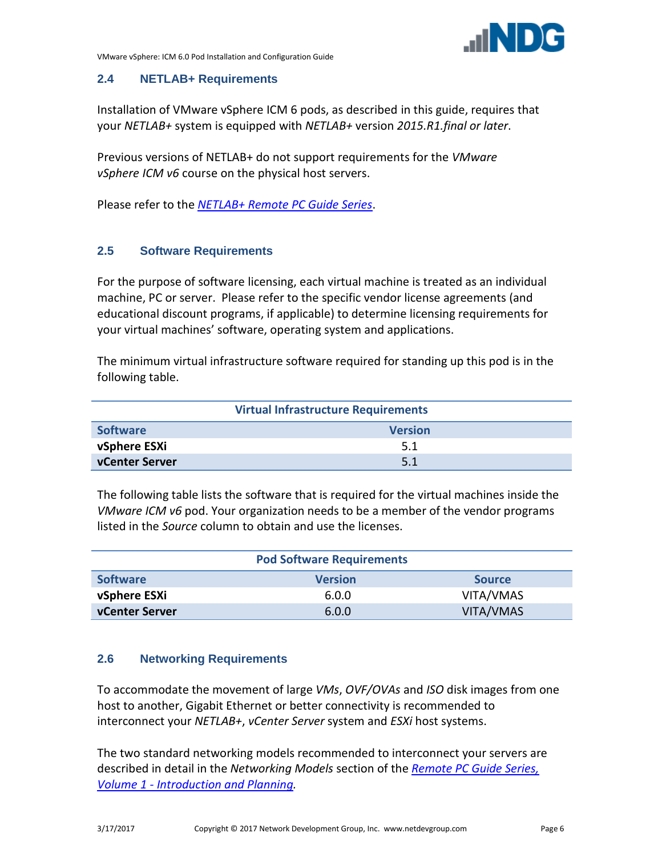

#### <span id="page-5-0"></span>**2.4 NETLAB+ Requirements**

Installation of VMware vSphere ICM 6 pods, as described in this guide, requires that your *NETLAB+* system is equipped with *NETLAB+* version *2015.R1.final or later*.

Previous versions of NETLAB+ do not support requirements for the *VMware vSphere ICM v6* course on the physical host servers.

Please refer to the *[NETLAB+ Remote PC Guide Series](http://www.netdevgroup.com/support/documentation)*.

#### <span id="page-5-1"></span>**2.5 Software Requirements**

For the purpose of software licensing, each virtual machine is treated as an individual machine, PC or server. Please refer to the specific vendor license agreements (and educational discount programs, if applicable) to determine licensing requirements for your virtual machines' software, operating system and applications.

The minimum virtual infrastructure software required for standing up this pod is in the following table.

| <b>Virtual Infrastructure Requirements</b> |                |  |  |
|--------------------------------------------|----------------|--|--|
| <b>Software</b>                            | <b>Version</b> |  |  |
| vSphere ESXi                               | 5.1            |  |  |
| vCenter Server                             | 5.1            |  |  |

The following table lists the software that is required for the virtual machines inside the *VMware ICM v6* pod. Your organization needs to be a member of the vendor programs listed in the *Source* column to obtain and use the licenses.

|                       | <b>Pod Software Requirements</b> |               |
|-----------------------|----------------------------------|---------------|
| <b>Software</b>       | <b>Version</b>                   | <b>Source</b> |
| vSphere ESXi          | 6.0.0                            | VITA/VMAS     |
| <b>vCenter Server</b> | 6.0.0                            | VITA/VMAS     |

#### <span id="page-5-2"></span>**2.6 Networking Requirements**

To accommodate the movement of large *VMs*, *OVF/OVAs* and *ISO* disk images from one host to another, Gigabit Ethernet or better connectivity is recommended to interconnect your *NETLAB+*, *vCenter Server* system and *ESXi* host systems.

The two standard networking models recommended to interconnect your servers are described in detail in the *Networking Models* section of the *[Remote PC Guide Series,](http://www.netdevgroup.com/support/documentation/NETLAB_Remote_PC_Guide_Vol_1_Introduction.pdf)  Volume 1 - [Introduction and Planning.](http://www.netdevgroup.com/support/documentation/NETLAB_Remote_PC_Guide_Vol_1_Introduction.pdf)*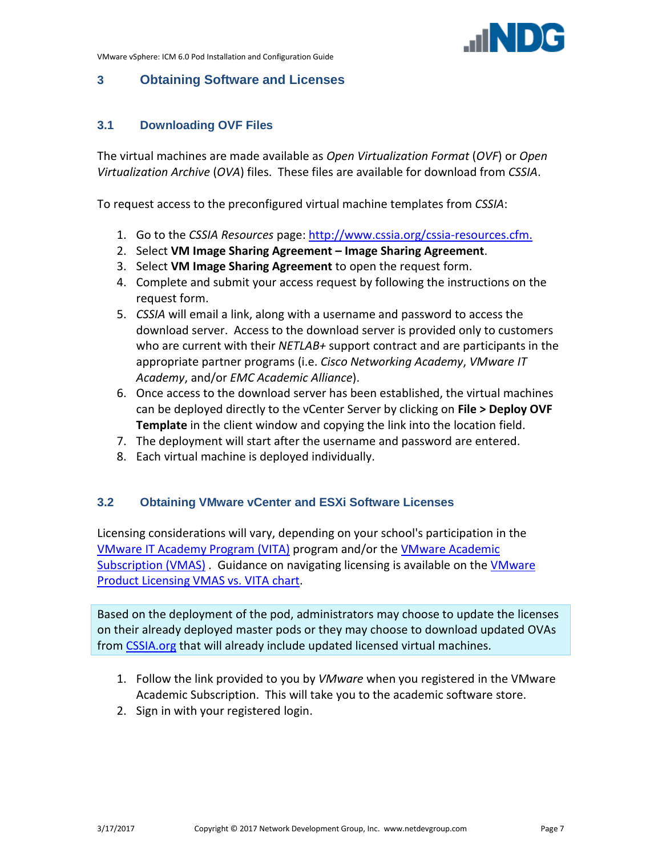

# <span id="page-6-0"></span>**3 Obtaining Software and Licenses**

# <span id="page-6-1"></span>**3.1 Downloading OVF Files**

The virtual machines are made available as *Open Virtualization Format* (*OVF*) or *Open Virtualization Archive* (*OVA*) files. These files are available for download from *CSSIA*.

To request access to the preconfigured virtual machine templates from *CSSIA*:

- 1. Go to the *CSSIA Resources* page: [http://www.cssia.org/cssia-resources.cfm.](http://www.cssia.org/cssia-resources.cfm)
- 2. Select **VM Image Sharing Agreement – Image Sharing Agreement**.
- 3. Select **VM Image Sharing Agreement** to open the request form.
- 4. Complete and submit your access request by following the instructions on the request form.
- 5. *CSSIA* will email a link, along with a username and password to access the download server. Access to the download server is provided only to customers who are current with their *NETLAB+* support contract and are participants in the appropriate partner programs (i.e. *Cisco Networking Academy*, *VMware IT Academy*, and/or *EMC Academic Alliance*).
- 6. Once access to the download server has been established, the virtual machines can be deployed directly to the vCenter Server by clicking on **File > Deploy OVF Template** in the client window and copying the link into the location field.
- 7. The deployment will start after the username and password are entered.
- 8. Each virtual machine is deployed individually.

# <span id="page-6-2"></span>**3.2 Obtaining VMware vCenter and ESXi Software Licenses**

Licensing considerations will vary, depending on your school's participation in the [VMware IT Academy Program \(VITA\)](https://labs.vmware.com/vmware-it-academy) program and/or th[e VMware Academic](https://vmapss.onthehub.com/WebStore/Welcome.aspx)  [Subscription \(VMAS\)](https://vmapss.onthehub.com/WebStore/Welcome.aspx) . Guidance on navigating licensing is available on the [VMware](http://www.netdevgroup.com/support/documentation/VMware%20VMAP-vITA%20Licensing%20Chart.pdf)  [Product Licensing VMAS](http://www.netdevgroup.com/support/documentation/VMware%20VMAP-vITA%20Licensing%20Chart.pdf) vs. VITA chart.

Based on the deployment of the pod, administrators may choose to update the licenses on their already deployed master pods or they may choose to download updated OVAs from [CSSIA.org](http://cssia.org/) that will already include updated licensed virtual machines.

- 1. Follow the link provided to you by *VMware* when you registered in the VMware Academic Subscription. This will take you to the academic software store.
- 2. Sign in with your registered login.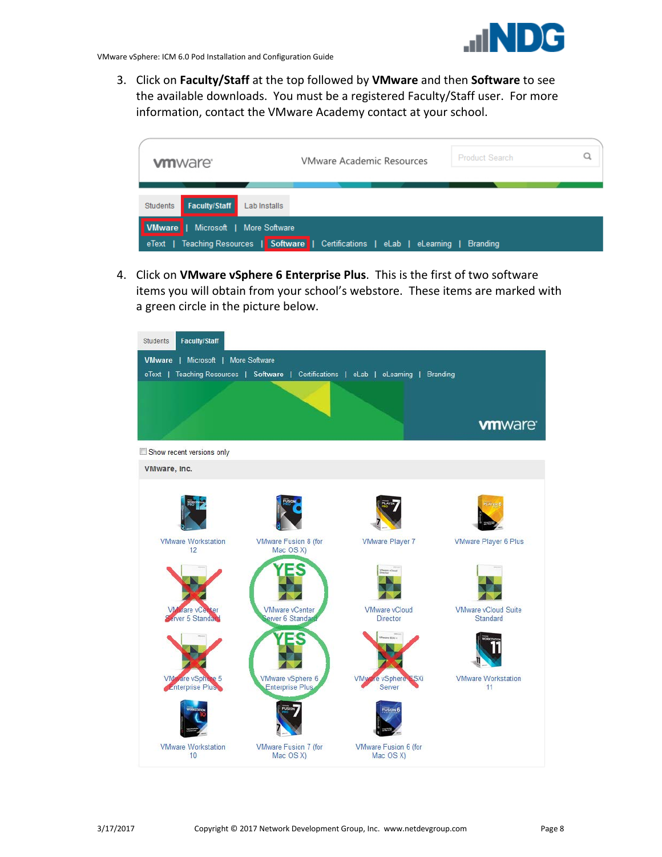

3. Click on **Faculty/Staff** at the top followed by **VMware** and then **Software** to see the available downloads. You must be a registered Faculty/Staff user. For more information, contact the VMware Academy contact at your school.



4. Click on **VMware vSphere 6 Enterprise Plus**. This is the first of two software items you will obtain from your school's webstore. These items are marked with a green circle in the picture below.

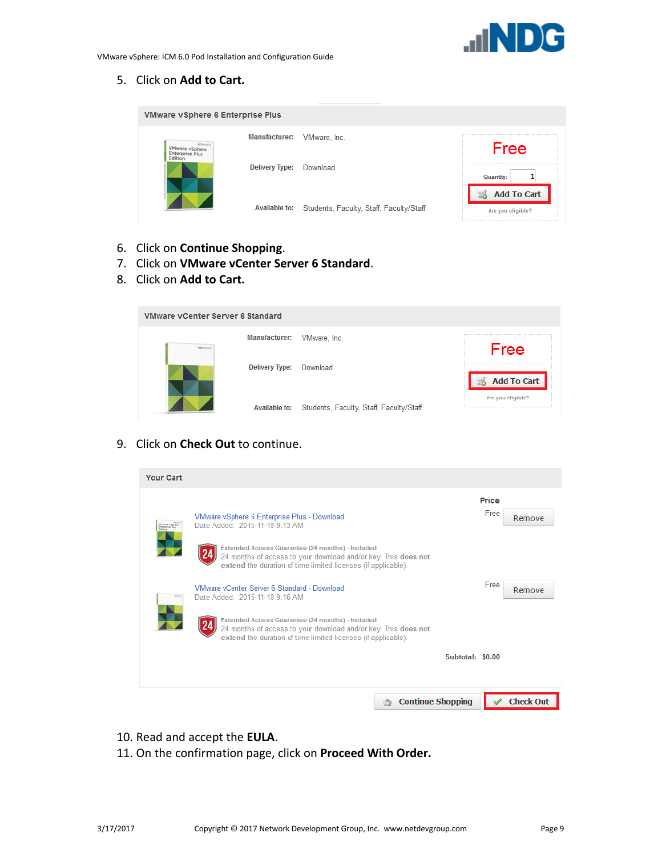

5. Click on **Add to Cart.**

| <b>VMware vSphere 6 Enterprise Plus</b> |                       |                                         |                                         |
|-----------------------------------------|-----------------------|-----------------------------------------|-----------------------------------------|
| <b>Minnero</b><br>VMware vSphere        | Manufacturer:         | VMware, Inc.                            | Free                                    |
| <b>Enterprise Plus</b><br>Edition       | <b>Delivery Type:</b> | Download                                | <b>Quantity:</b>                        |
|                                         | Available to:         | Students, Faculty, Staff, Faculty/Staff | <b>Add To Cart</b><br>Are you eligible? |

- 6. Click on **Continue Shopping**.
- 7. Click on **VMware vCenter Server 6 Standard**.
- 8. Click on **Add to Cart.**

| <b>VMware vCenter Server 6 Standard</b> |                       |                                                       |                    |  |  |  |
|-----------------------------------------|-----------------------|-------------------------------------------------------|--------------------|--|--|--|
| <b>Villi</b> ware                       | <b>Manufacturer:</b>  | VMware, Inc.                                          | Free               |  |  |  |
|                                         | <b>Delivery Type:</b> | Download                                              | <b>Add To Cart</b> |  |  |  |
|                                         |                       | Available to: Students, Faculty, Staff, Faculty/Staff | Are you eligible?  |  |  |  |

# 9. Click on **Check Out** to continue.

| <b>Your Cart</b>                              |                                                                                                                                                                                     |                  |               |                  |
|-----------------------------------------------|-------------------------------------------------------------------------------------------------------------------------------------------------------------------------------------|------------------|---------------|------------------|
| VMasara vSphere<br>Enterprise Plus<br>Edition | VMware vSphere 6 Enterprise Plus - Download<br>Date Added: 2015-11-18 9:13 AM                                                                                                       |                  | Price<br>Free | Remove           |
|                                               | Extended Access Guarantee (24 months) - Included<br>24 months of access to your download and/or key. This does not<br>extend the duration of time-limited licenses (if applicable). |                  |               |                  |
|                                               | VMware vCenter Server 6 Standard - Download<br>Date Added: 2015-11-18 9:16 AM                                                                                                       |                  | Free          | Remove           |
|                                               | Extended Access Guarantee (24 months) - Included<br>24 months of access to your download and/or key. This does not<br>extend the duration of time-limited licenses (if applicable). |                  |               |                  |
|                                               |                                                                                                                                                                                     | Subtotal: \$0.00 |               |                  |
|                                               | <b>Continue Shopping</b>                                                                                                                                                            |                  |               | <b>Check Out</b> |

- 10. Read and accept the **EULA**.
- 11. On the confirmation page, click on **Proceed With Order.**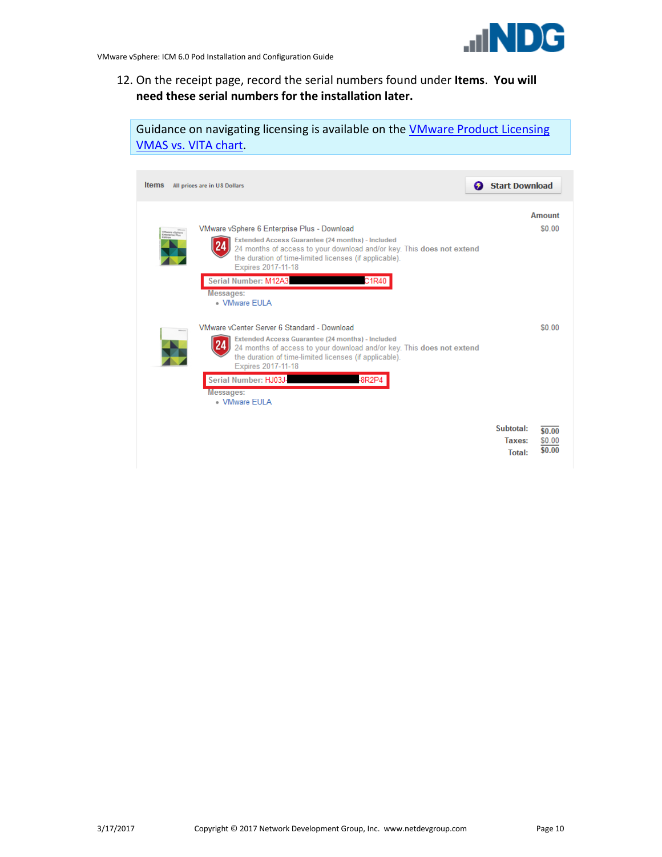

12. On the receipt page, record the serial numbers found under **Items**. **You will need these serial numbers for the installation later.**

Guidance on navigating licensing is available on the [VMware Product Licensing](http://www.netdevgroup.com/support/documentation/VMware%20VMAP-vITA%20Licensing%20Chart.pdf)  VMAS [vs. VITA chart.](http://www.netdevgroup.com/support/documentation/VMware%20VMAP-vITA%20Licensing%20Chart.pdf)

| <b>Items</b><br>All prices are in US Dollars                                                                                                                                                                                                                                                                                                                                   | <b>Start Download</b><br>Ø                                  |
|--------------------------------------------------------------------------------------------------------------------------------------------------------------------------------------------------------------------------------------------------------------------------------------------------------------------------------------------------------------------------------|-------------------------------------------------------------|
| VMware vSphere 6 Enterprise Plus - Download<br><b>YMeare vSphere</b><br>Enterprise Plus<br>Edition<br>Extended Access Guarantee (24 months) - Included<br>24 months of access to your download and/or key. This does not extend<br>the duration of time-limited licenses (if applicable).<br>Expires 2017-11-18<br>Serial Number: M12A3<br>C1R40<br>Messages:<br>- VMware FULA | <b>Amount</b><br>\$0.00                                     |
| VMware vCenter Server 6 Standard - Download<br>Extended Access Guarantee (24 months) - Included<br>24 months of access to your download and/or key. This does not extend<br>the duration of time-limited licenses (if applicable).<br>Expires 2017-11-18<br>Serial Number: HJ03J-<br>-8R2P4<br><b>Messages:</b><br>- VMware FULA                                               | \$0.00                                                      |
|                                                                                                                                                                                                                                                                                                                                                                                | Subtotal:<br>\$0.00<br>Taxes:<br>\$0.00<br>\$0.00<br>Total: |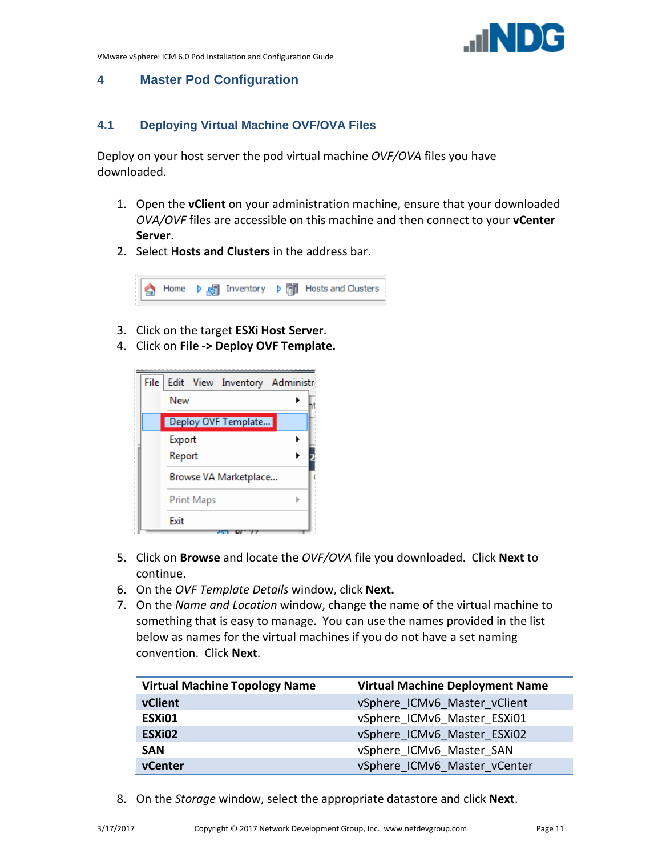

# <span id="page-10-0"></span>**4 Master Pod Configuration**

#### <span id="page-10-1"></span>**4.1 Deploying Virtual Machine OVF/OVA Files**

Deploy on your host server the pod virtual machine *OVF/OVA* files you have downloaded.

- 1. Open the **vClient** on your administration machine, ensure that your downloaded *OVA/OVF* files are accessible on this machine and then connect to your **vCenter Server**.
- 2. Select **Hosts and Clusters** in the address bar.

Home  $\triangleright$   $\frac{1}{100}$  Inventory  $\triangleright$   $\frac{1}{100}$  Hosts and Clusters €

- 3. Click on the target **ESXi Host Server**.
- 4. Click on **File -> Deploy OVF Template.**



- 5. Click on **Browse** and locate the *OVF/OVA* file you downloaded. Click **Next** to continue.
- 6. On the *OVF Template Details* window, click **Next.**
- 7. On the *Name and Location* window, change the name of the virtual machine to something that is easy to manage. You can use the names provided in the list below as names for the virtual machines if you do not have a set naming convention. Click **Next**.

| <b>Virtual Machine Topology Name</b> | <b>Virtual Machine Deployment Name</b> |  |
|--------------------------------------|----------------------------------------|--|
| vClient                              | vSphere ICMv6 Master vClient           |  |
| ESXi01                               | vSphere ICMv6 Master ESXi01            |  |
| ESX <sub>i</sub> 02                  | vSphere ICMv6 Master ESXi02            |  |
| <b>SAN</b>                           | vSphere ICMv6 Master SAN               |  |
| vCenter                              | vSphere ICMv6 Master vCenter           |  |

8. On the *Storage* window, select the appropriate datastore and click **Next**.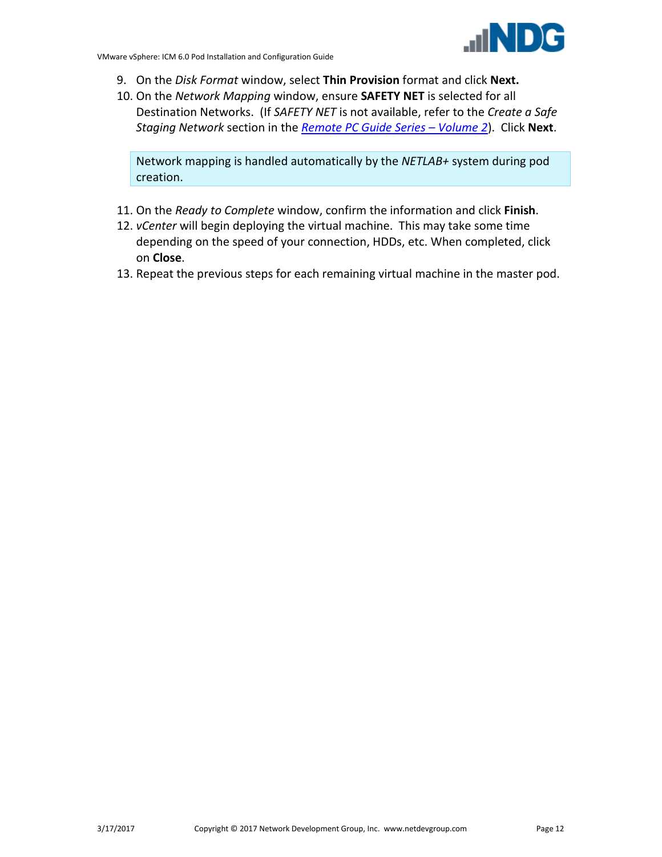- 9. On the *Disk Format* window, select **Thin Provision** format and click **Next.**
- 10. On the *Network Mapping* window, ensure **SAFETY NET** is selected for all Destination Networks. (If *SAFETY NET* is not available, refer to the *Create a Safe Staging Network* section in the *[Remote PC Guide Series –](http://www.netdevgroup.com/support/documentation/NETLAB_Remote_PC_Guide_Vol_2_Installation.pdf) Volume 2*). Click **Next**.

Network mapping is handled automatically by the *NETLAB+* system during pod creation.

- 11. On the *Ready to Complete* window, confirm the information and click **Finish**.
- 12. *vCenter* will begin deploying the virtual machine. This may take some time depending on the speed of your connection, HDDs, etc. When completed, click on **Close**.
- 13. Repeat the previous steps for each remaining virtual machine in the master pod.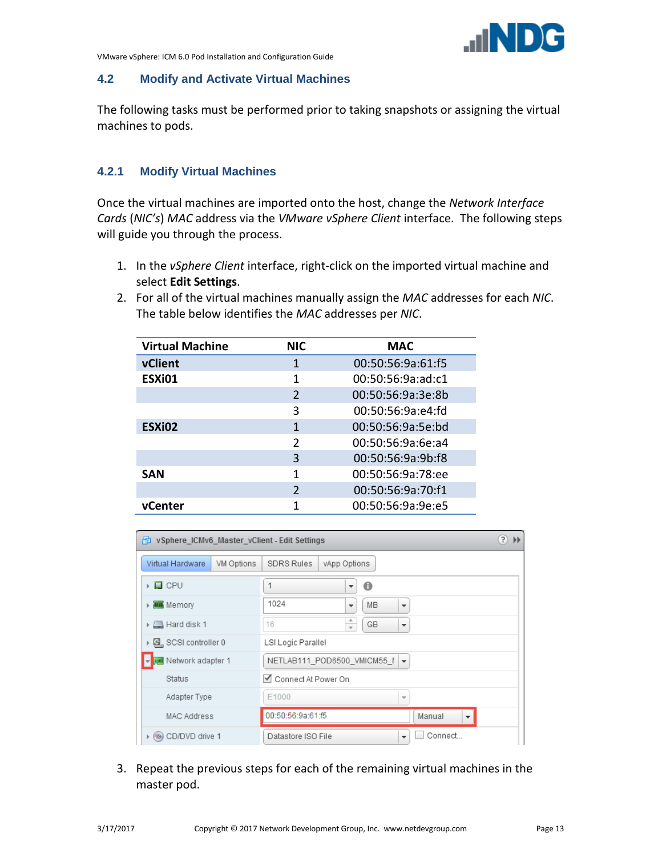

#### <span id="page-12-0"></span>**4.2 Modify and Activate Virtual Machines**

The following tasks must be performed prior to taking snapshots or assigning the virtual machines to pods.

# <span id="page-12-1"></span>**4.2.1 Modify Virtual Machines**

Once the virtual machines are imported onto the host, change the *Network Interface Cards* (*NIC's*) *MAC* address via the *VMware vSphere Client* interface. The following steps will guide you through the process.

- 1. In the *vSphere Client* interface, right-click on the imported virtual machine and select **Edit Settings**.
- 2. For all of the virtual machines manually assign the *MAC* addresses for each *NIC*. The table below identifies the *MAC* addresses per *NIC*.

| <b>Virtual Machine</b> | <b>NIC</b>     | <b>MAC</b>        |
|------------------------|----------------|-------------------|
| vClient                | 1              | 00:50:56:9a:61:f5 |
| ESXi01                 | 1              | 00:50:56:9a:ad:c1 |
|                        | $\mathfrak{D}$ | 00:50:56:9a:3e:8b |
|                        | 3              | 00:50:56:9a:e4:fd |
| ESX <sub>i</sub> 02    | 1              | 00:50:56:9a:5e:bd |
|                        | $\mathfrak{p}$ | 00:50:56:9a:6e:a4 |
|                        | 3              | 00:50:56:9a:9b:f8 |
| <b>SAN</b>             | 1              | 00:50:56:9a:78:ee |
|                        | $\mathfrak{D}$ | 00:50:56:9a:70:f1 |
| <b>vCenter</b>         | 1              | 00:50:56:9a:9e:e5 |

| (3)<br>vSphere_ICMv6_Master_vClient - Edit Settings<br>$\blacktriangleright\blacktriangleright$<br>伸 |                                                                    |  |  |
|------------------------------------------------------------------------------------------------------|--------------------------------------------------------------------|--|--|
| Virtual Hardware<br>VM Options                                                                       | <b>SDRS Rules</b><br>vApp Options                                  |  |  |
| ▶ □ CPU                                                                                              | 0<br>▼                                                             |  |  |
| ▶ <b>ILLE</b> Memory                                                                                 | 1024<br>MB<br>$\overline{\phantom{a}}$<br>$\overline{\phantom{a}}$ |  |  |
| $\triangleright$ $\blacksquare$ Hard disk 1                                                          | GB<br>16<br>$\overline{\phantom{a}}$<br>$\overline{\mathbf{v}}$    |  |  |
| ▶ 图 SCSI controller 0                                                                                | LSI Logic Parallel                                                 |  |  |
| Network adapter 1                                                                                    | NETLAB111_POD6500_VMICM55_I   -                                    |  |  |
| <b>Status</b>                                                                                        | Connect At Power On                                                |  |  |
| Adapter Type                                                                                         | E1000<br>$\overline{\mathcal{M}}$                                  |  |  |
| MAC Address                                                                                          | 00:50:56:9a:61:f5<br>Manual                                        |  |  |
| CD/DVD drive 1<br>$+ (0)$                                                                            | Connect<br>Datastore ISO File<br>$\overline{\phantom{a}}$          |  |  |

3. Repeat the previous steps for each of the remaining virtual machines in the master pod.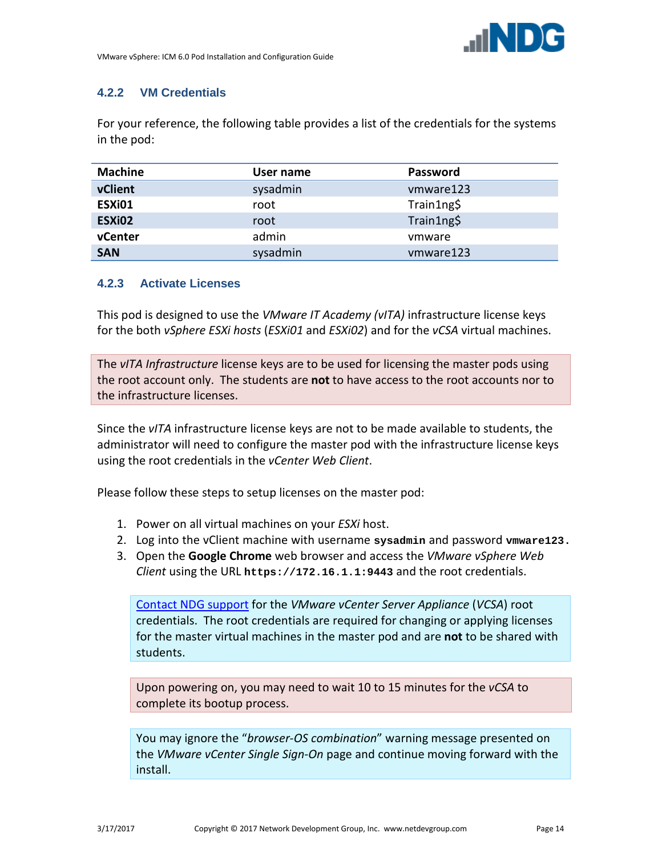

# <span id="page-13-0"></span>**4.2.2 VM Credentials**

For your reference, the following table provides a list of the credentials for the systems in the pod:

| <b>Machine</b> | User name | <b>Password</b> |
|----------------|-----------|-----------------|
| vClient        | sysadmin  | vmware123       |
| ESXi01         | root      | Train1ng\$      |
| ESXi02         | root      | Train1ng\$      |
| vCenter        | admin     | ymware          |
| <b>SAN</b>     | sysadmin  | vmware123       |

#### <span id="page-13-1"></span>**4.2.3 Activate Licenses**

This pod is designed to use the *VMware IT Academy (vITA)* infrastructure license keys for the both *vSphere ESXi hosts* (*ESXi01* and *ESXi02*) and for the *vCSA* virtual machines.

The *vITA Infrastructure* license keys are to be used for licensing the master pods using the root account only. The students are **not** to have access to the root accounts nor to the infrastructure licenses.

Since the *vITA* infrastructure license keys are not to be made available to students, the administrator will need to configure the master pod with the infrastructure license keys using the root credentials in the *vCenter Web Client*.

Please follow these steps to setup licenses on the master pod:

- 1. Power on all virtual machines on your *ESXi* host.
- 2. Log into the vClient machine with username **sysadmin** and password **vmware123.**
- 3. Open the **Google Chrome** web browser and access the *VMware vSphere Web Client* using the URL **[https://172.16.1.1:9443](https://172.16.1.1:9443/)** and the root credentials.

[Contact NDG support](http://www.netdevgroup.com/support/tech_support.html) for the *VMware vCenter Server Appliance* (*VCSA*) root credentials. The root credentials are required for changing or applying licenses for the master virtual machines in the master pod and are **not** to be shared with students.

Upon powering on, you may need to wait 10 to 15 minutes for the *vCSA* to complete its bootup process.

You may ignore the "*browser-OS combination*" warning message presented on the *VMware vCenter Single Sign-On* page and continue moving forward with the install.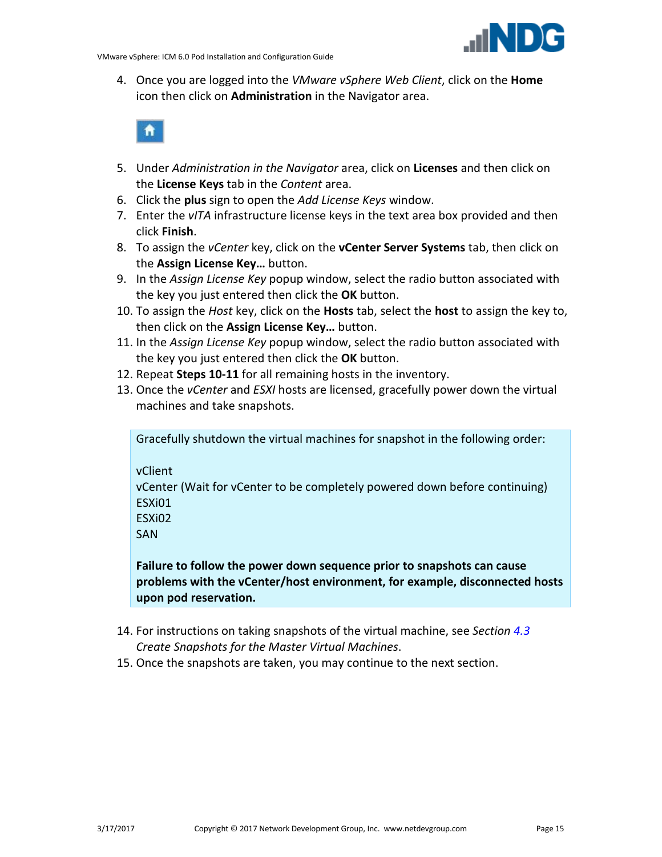

4. Once you are logged into the *VMware vSphere Web Client*, click on the **Home** icon then click on **Administration** in the Navigator area.



- 5. Under *Administration in the Navigator* area, click on **Licenses** and then click on the **License Keys** tab in the *Content* area.
- 6. Click the **plus** sign to open the *Add License Keys* window.
- 7. Enter the *vITA* infrastructure license keys in the text area box provided and then click **Finish**.
- 8. To assign the *vCenter* key, click on the **vCenter Server Systems** tab, then click on the **Assign License Key…** button.
- 9. In the *Assign License Key* popup window, select the radio button associated with the key you just entered then click the **OK** button.
- 10. To assign the *Host* key, click on the **Hosts** tab, select the **host** to assign the key to, then click on the **Assign License Key…** button.
- 11. In the *Assign License Key* popup window, select the radio button associated with the key you just entered then click the **OK** button.
- 12. Repeat **Steps 10-11** for all remaining hosts in the inventory.
- 13. Once the *vCenter* and *ESXI* hosts are licensed, gracefully power down the virtual machines and take snapshots.

Gracefully shutdown the virtual machines for snapshot in the following order:

vClient

vCenter (Wait for vCenter to be completely powered down before continuing) ESXi01

ESXi02

SAN

**Failure to follow the power down sequence prior to snapshots can cause problems with the vCenter/host environment, for example, disconnected hosts upon pod reservation.** 

- 14. For instructions on taking snapshots of the virtual machine, see *Section [4.3](#page-15-0) [Create Snapshots for the Master Virtual Machines](#page-15-0)*.
- 15. Once the snapshots are taken, you may continue to the next section.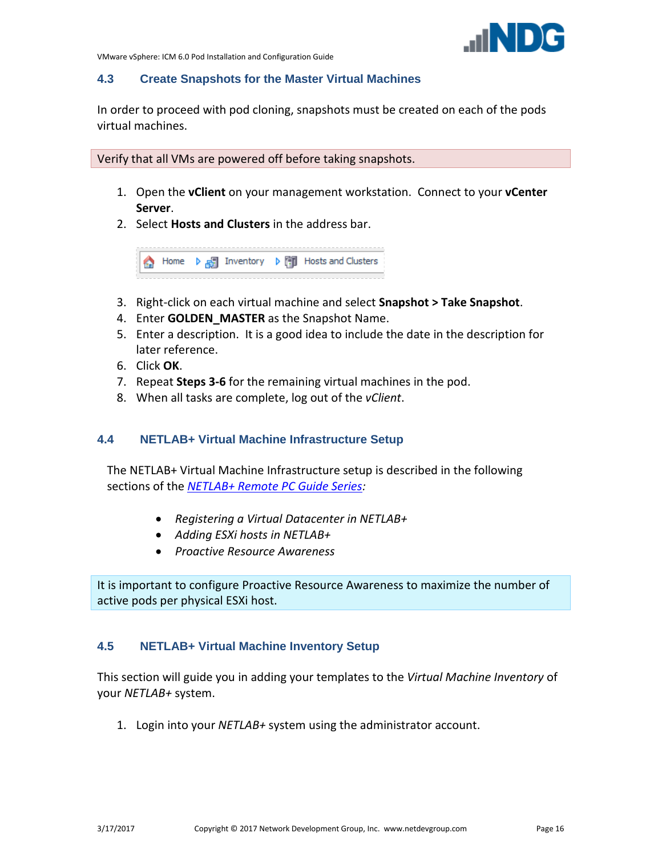

#### <span id="page-15-0"></span>**4.3 Create Snapshots for the Master Virtual Machines**

In order to proceed with pod cloning, snapshots must be created on each of the pods virtual machines.

Verify that all VMs are powered off before taking snapshots.

- 1. Open the **vClient** on your management workstation. Connect to your **vCenter Server**.
- 2. Select **Hosts and Clusters** in the address bar.

A Home D <sub>B</sub> Inventory D D Hosts and Clusters

- 3. Right-click on each virtual machine and select **Snapshot > Take Snapshot**.
- 4. Enter **GOLDEN\_MASTER** as the Snapshot Name.
- 5. Enter a description. It is a good idea to include the date in the description for later reference.
- 6. Click **OK**.
- 7. Repeat **Steps 3-6** for the remaining virtual machines in the pod.
- 8. When all tasks are complete, log out of the *vClient*.

#### <span id="page-15-1"></span>**4.4 NETLAB+ Virtual Machine Infrastructure Setup**

The NETLAB+ Virtual Machine Infrastructure setup is described in the following sections of the *[NETLAB+ Remote PC Guide Series:](http://www.netdevgroup.com/support/documentation)*

- *Registering a Virtual Datacenter in NETLAB+*
- *Adding ESXi hosts in NETLAB+*
- *Proactive Resource Awareness*

It is important to configure Proactive Resource Awareness to maximize the number of active pods per physical ESXi host.

#### <span id="page-15-2"></span>**4.5 NETLAB+ Virtual Machine Inventory Setup**

This section will guide you in adding your templates to the *Virtual Machine Inventory* of your *NETLAB+* system.

1. Login into your *NETLAB+* system using the administrator account.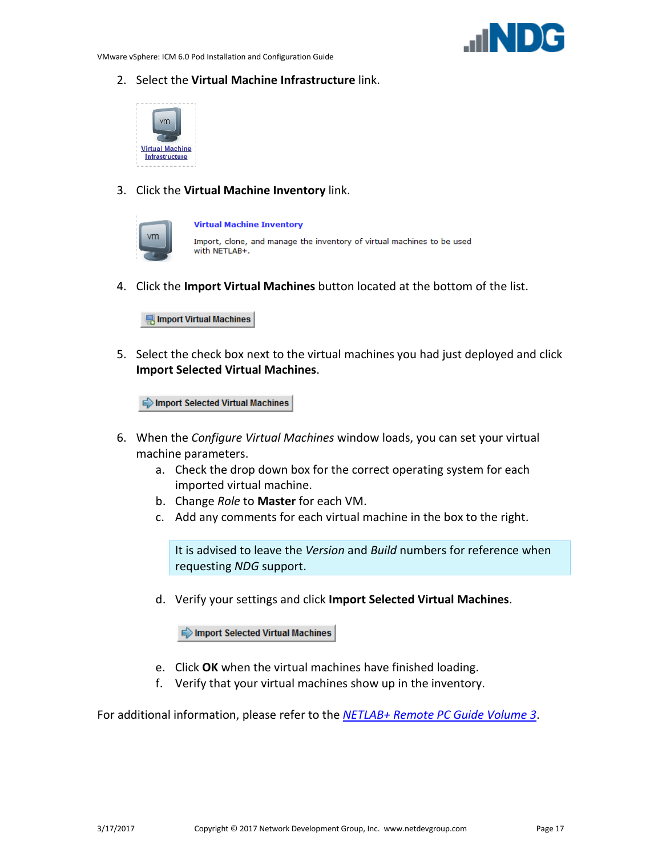

2. Select the **Virtual Machine Infrastructure** link.



3. Click the **Virtual Machine Inventory** link.

| m |  |
|---|--|
|   |  |
|   |  |

**Virtual Machine Inventory** 

Import, clone, and manage the inventory of virtual machines to be used with NETLAB+.

4. Click the **Import Virtual Machines** button located at the bottom of the list.

Import Virtual Machines

5. Select the check box next to the virtual machines you had just deployed and click **Import Selected Virtual Machines**.

Import Selected Virtual Machines

- 6. When the *Configure Virtual Machines* window loads, you can set your virtual machine parameters.
	- a. Check the drop down box for the correct operating system for each imported virtual machine.
	- b. Change *Role* to **Master** for each VM.
	- c. Add any comments for each virtual machine in the box to the right.

It is advised to leave the *Version* and *Build* numbers for reference when requesting *NDG* support.

d. Verify your settings and click **Import Selected Virtual Machines**.

Import Selected Virtual Machines

- e. Click **OK** when the virtual machines have finished loading.
- f. Verify that your virtual machines show up in the inventory.

For additional information, please refer to the *[NETLAB+ Remote PC Guide Volume 3](http://www.netdevgroup.com/support/documentation/NETLAB_Remote_PC_Guide_Vol_3_Configuring.pdf)*.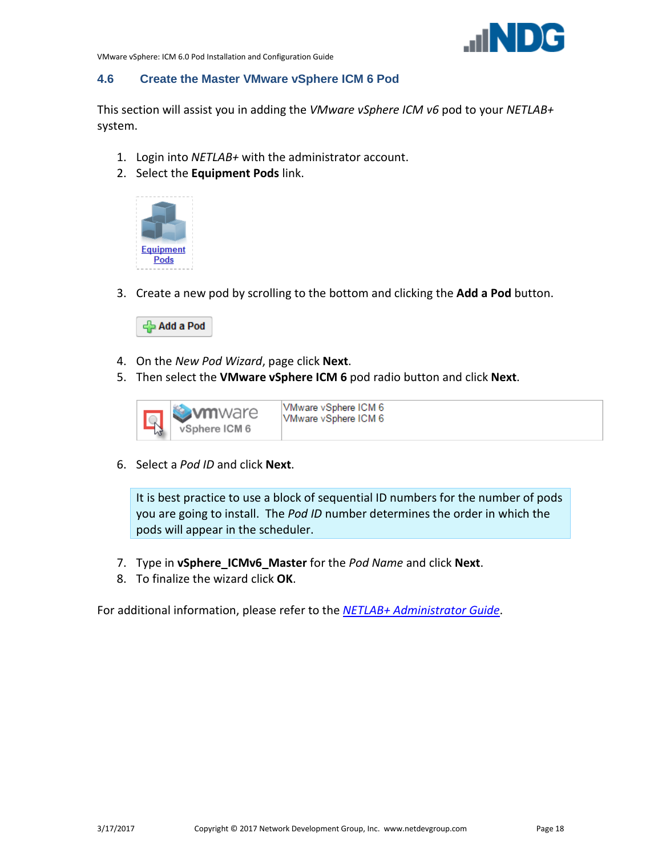

#### <span id="page-17-0"></span>**4.6 Create the Master VMware vSphere ICM 6 Pod**

This section will assist you in adding the *VMware vSphere ICM v6* pod to your *NETLAB+* system.

- 1. Login into *NETLAB+* with the administrator account.
- 2. Select the **Equipment Pods** link.



3. Create a new pod by scrolling to the bottom and clicking the **Add a Pod** button.



- 4. On the *New Pod Wizard*, page click **Next**.
- 5. Then select the **VMware vSphere ICM 6** pod radio button and click **Next**.



6. Select a *Pod ID* and click **Next**.

It is best practice to use a block of sequential ID numbers for the number of pods you are going to install. The *Pod ID* number determines the order in which the pods will appear in the scheduler.

- 7. Type in **vSphere\_ICMv6\_Master** for the *Pod Name* and click **Next**.
- 8. To finalize the wizard click **OK**.

For additional information, please refer to the *[NETLAB+ Administrator Guide](http://www.netdevgroup.com/support/documentation/NETLAB_Administrator_Guide.pdf)*.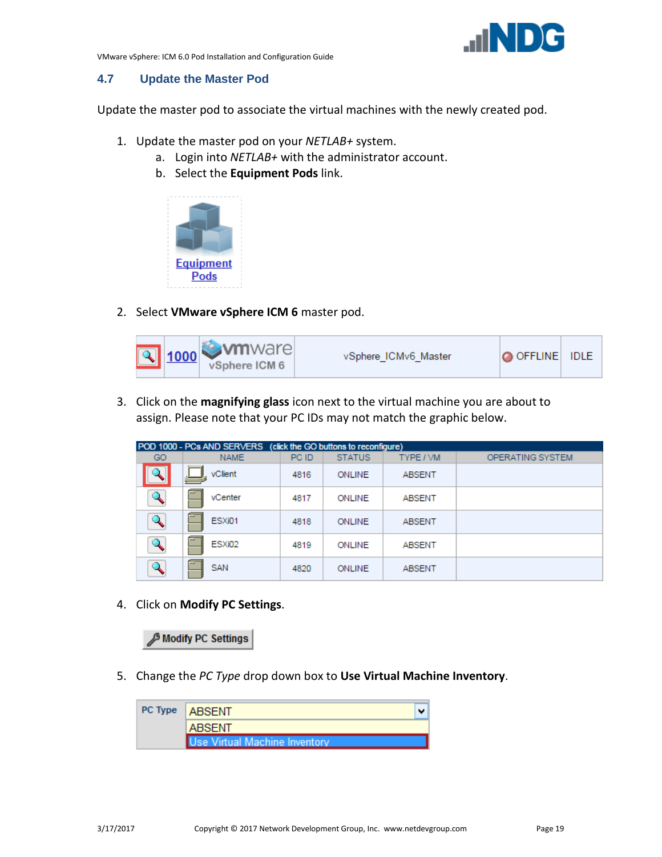

#### <span id="page-18-0"></span>**4.7 Update the Master Pod**

Update the master pod to associate the virtual machines with the newly created pod.

- 1. Update the master pod on your *NETLAB+* system.
	- a. Login into *NETLAB+* with the administrator account.
	- b. Select the **Equipment Pods** link.



2. Select **VMware vSphere ICM 6** master pod.



3. Click on the **magnifying glass** icon next to the virtual machine you are about to assign. Please note that your PC IDs may not match the graphic below.

|                         | POD 1000 - PCs AND SERVERS (click the GO buttons to reconfigure) |       |               |               |                  |
|-------------------------|------------------------------------------------------------------|-------|---------------|---------------|------------------|
| GO                      | <b>NAME</b>                                                      | PC ID | <b>STATUS</b> | TYPE / VM     | OPERATING SYSTEM |
|                         | vClient                                                          | 4816  | ONLINE        | <b>ABSENT</b> |                  |
|                         | vCenter                                                          | 4817  | ONLINE        | <b>ABSENT</b> |                  |
|                         | ESXi01                                                           | 4818  | ONLINE        | <b>ABSENT</b> |                  |
| $\mathbf{Q}_\mathbf{C}$ | ESXi02                                                           | 4819  | ONLINE        | <b>ABSENT</b> |                  |
|                         | SAN                                                              | 4820  | ONLINE        | <b>ABSENT</b> |                  |

4. Click on **Modify PC Settings**.

**B Modify PC Settings** 

5. Change the *PC Type* drop down box to **Use Virtual Machine Inventory**.

| PC Type   ABSENT              |  |
|-------------------------------|--|
| <b>ABSENT</b>                 |  |
| Use Virtual Machine Inventory |  |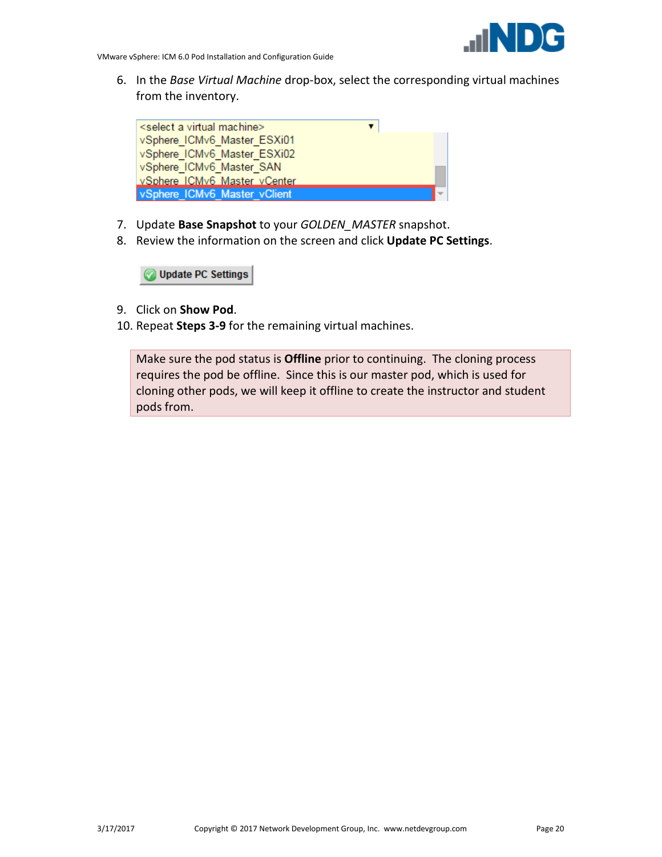

6. In the *Base Virtual Machine* drop-box, select the corresponding virtual machines from the inventory.



- 7. Update **Base Snapshot** to your *GOLDEN\_MASTER* snapshot.
- 8. Review the information on the screen and click **Update PC Settings**.

**Update PC Settings** 

- 9. Click on **Show Pod**.
- 10. Repeat **Steps 3-9** for the remaining virtual machines.

Make sure the pod status is **Offline** prior to continuing. The cloning process requires the pod be offline. Since this is our master pod, which is used for cloning other pods, we will keep it offline to create the instructor and student pods from.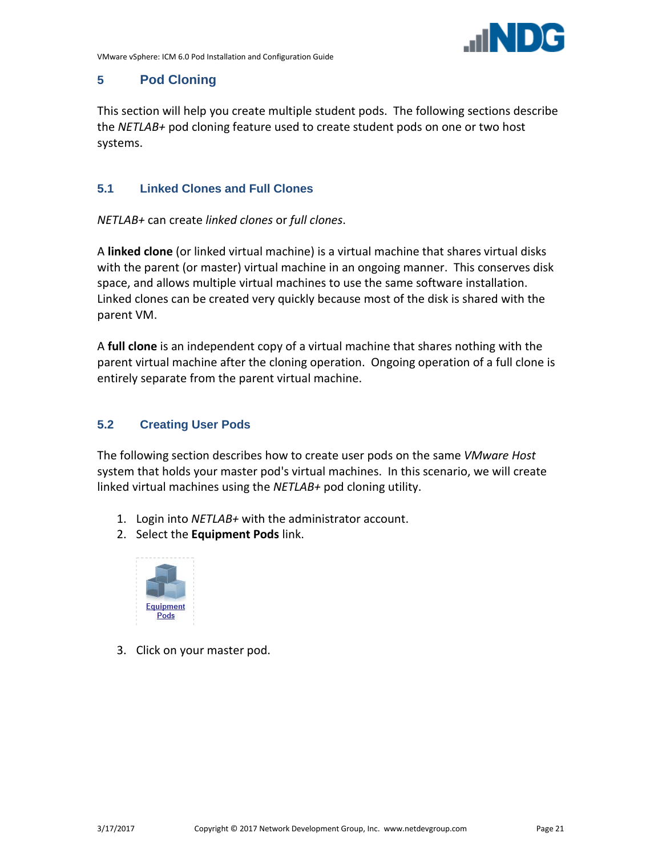

# <span id="page-20-0"></span>**5 Pod Cloning**

This section will help you create multiple student pods. The following sections describe the *NETLAB+* pod cloning feature used to create student pods on one or two host systems.

#### <span id="page-20-1"></span>**5.1 Linked Clones and Full Clones**

*NETLAB+* can create *linked clones* or *full clones*.

A **linked clone** (or linked virtual machine) is a virtual machine that shares virtual disks with the parent (or master) virtual machine in an ongoing manner. This conserves disk space, and allows multiple virtual machines to use the same software installation. Linked clones can be created very quickly because most of the disk is shared with the parent VM.

A **full clone** is an independent copy of a virtual machine that shares nothing with the parent virtual machine after the cloning operation. Ongoing operation of a full clone is entirely separate from the parent virtual machine.

## <span id="page-20-2"></span>**5.2 Creating User Pods**

The following section describes how to create user pods on the same *VMware Host* system that holds your master pod's virtual machines. In this scenario, we will create linked virtual machines using the *NETLAB+* pod cloning utility.

- 1. Login into *NETLAB+* with the administrator account.
- 2. Select the **Equipment Pods** link.



3. Click on your master pod.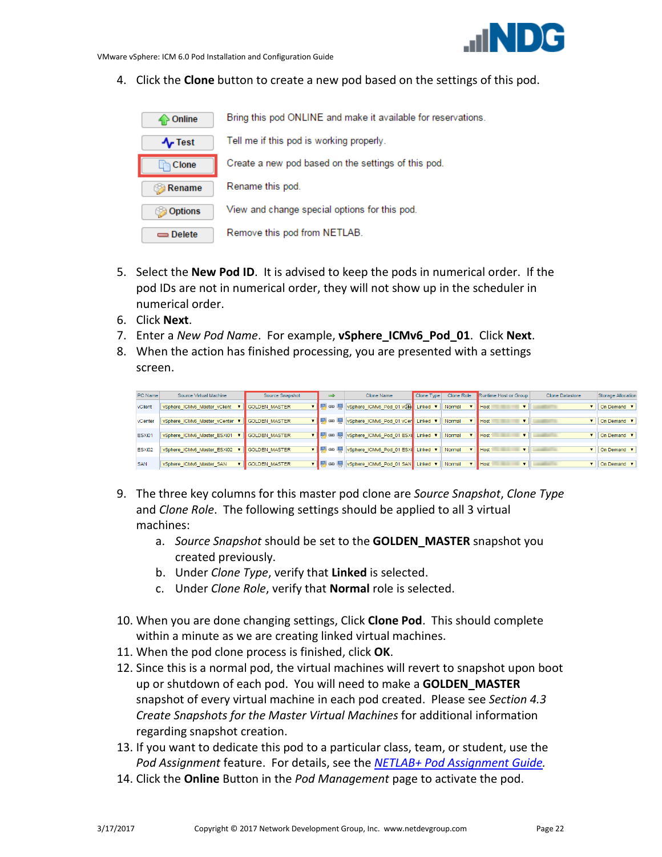

4. Click the **Clone** button to create a new pod based on the settings of this pod.

| Online      | Bring this pod ONLINE and make it available for reservations. |
|-------------|---------------------------------------------------------------|
| $\sim$ Test | Tell me if this pod is working properly.                      |
| Clone       | Create a new pod based on the settings of this pod.           |
|             |                                                               |
| Rename      | Rename this pod.                                              |
| Options     | View and change special options for this pod.                 |

- 5. Select the **New Pod ID**. It is advised to keep the pods in numerical order. If the pod IDs are not in numerical order, they will not show up in the scheduler in numerical order.
- 6. Click **Next**.
- 7. Enter a *New Pod Name*. For example, **vSphere\_ICMv6\_Pod\_01**. Click **Next**.
- 8. When the action has finished processing, you are presented with a settings screen.

| PC Name    | Source Virtual Machine       | Source Snapshot      | ⇒ | Clone Name                                        | Clone Type | Clone Role | Runtime Host or Group | Clone Datastore | Storage Allocation                    |
|------------|------------------------------|----------------------|---|---------------------------------------------------|------------|------------|-----------------------|-----------------|---------------------------------------|
| vClient    | vSphere ICMv6 Master vClient | <b>GOLDEN MASTER</b> |   | ▼     69     vSphere_ICMv6_Pod_01 vOMe   Linked ▼ |            | Normal     | $\mathbf{v}$   Host   |                 | $\mathbf{v}$   On Demand $\mathbf{v}$ |
| vCenter    | vSphere_ICMv6_Master_vCenter | GOLDEN MASTER        |   | ▼     69     vSphere_ICMv6_Pod_01 vCer   Linked ▼ |            | Normal     | <b>Host</b>           |                 | $\mathbf{v}$   On Demand $\mathbf{v}$ |
| ESXi01     | vSphere_ICMv6_Master_ESXi01  | <b>GOLDEN MASTER</b> |   | ▼     69     vSphere_ICMv6_Pod_01 ESXi   Linked ▼ |            | Normal     | Host                  |                 | $\mathbf{v}$   On Demand $\mathbf{v}$ |
| ESXi02     | vSphere_ICMv6_Master_ESXi02  | GOLDEN_MASTER        |   | ▼     69     vSphere_ICMv6_Pod_01 ESXi   Linked ▼ |            | Normal     | Host                  |                 | $\mathbf{v}$   On Demand $\mathbf{v}$ |
| <b>SAN</b> | vSphere_ICMv6_Master_SAN     | GOLDEN_MASTER        |   | ▼     69     vSphere_ICMv6_Pod_01 SAN   Linked ▼  |            | Normal     | <b>Host</b>           |                 | $\mathbf{v}$   On Demand $\mathbf{v}$ |

- 9. The three key columns for this master pod clone are *Source Snapshot*, *Clone Type* and *Clone Role*. The following settings should be applied to all 3 virtual machines:
	- a. *Source Snapshot* should be set to the **GOLDEN\_MASTER** snapshot you created previously.
	- b. Under *Clone Type*, verify that **Linked** is selected.
	- c. Under *Clone Role*, verify that **Normal** role is selected.
- 10. When you are done changing settings, Click **Clone Pod**. This should complete within a minute as we are creating linked virtual machines.
- 11. When the pod clone process is finished, click **OK**.
- 12. Since this is a normal pod, the virtual machines will revert to snapshot upon boot up or shutdown of each pod. You will need to make a **GOLDEN\_MASTER** snapshot of every virtual machine in each pod created. Please see *Section [4.3](#page-15-0) [Create Snapshots for the Master Virtual Machines](#page-15-0)* for additional information regarding snapshot creation.
- 13. If you want to dedicate this pod to a particular class, team, or student, use the *Pod Assignment* feature. For details, see the *[NETLAB+ Pod Assignment Guide.](http://www.netdevgroup.com/support/documentation/NETLAB_Pod_Assignment.pdf)*
- 14. Click the **Online** Button in the *Pod Management* page to activate the pod.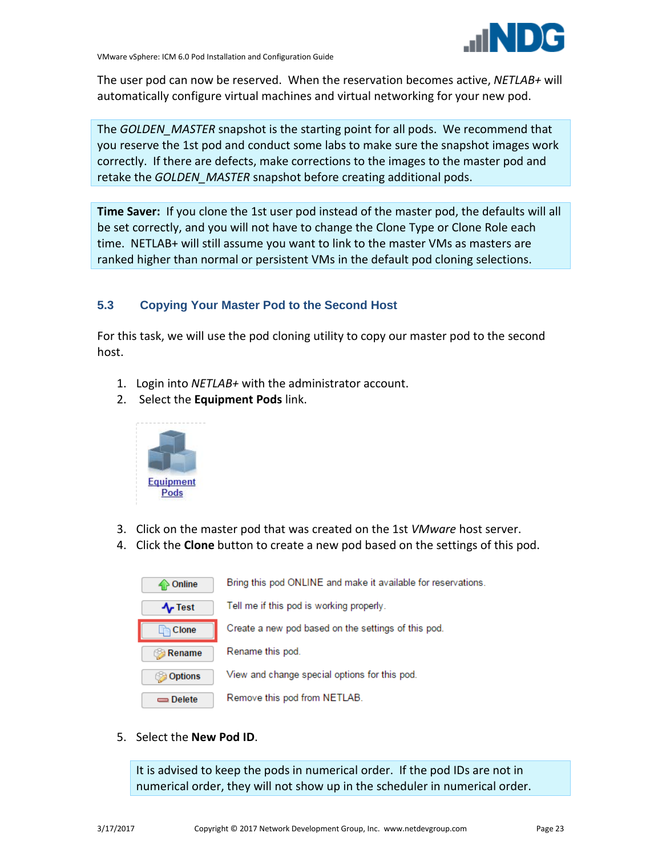

The user pod can now be reserved. When the reservation becomes active, *NETLAB+* will automatically configure virtual machines and virtual networking for your new pod.

The *GOLDEN\_MASTER* snapshot is the starting point for all pods. We recommend that you reserve the 1st pod and conduct some labs to make sure the snapshot images work correctly. If there are defects, make corrections to the images to the master pod and retake the *GOLDEN\_MASTER* snapshot before creating additional pods.

**Time Saver:** If you clone the 1st user pod instead of the master pod, the defaults will all be set correctly, and you will not have to change the Clone Type or Clone Role each time. NETLAB+ will still assume you want to link to the master VMs as masters are ranked higher than normal or persistent VMs in the default pod cloning selections.

# <span id="page-22-0"></span>**5.3 Copying Your Master Pod to the Second Host**

For this task, we will use the pod cloning utility to copy our master pod to the second host.

- 1. Login into *NETLAB+* with the administrator account.
- 2. Select the **Equipment Pods** link.



- 3. Click on the master pod that was created on the 1st *VMware* host server.
- 4. Click the **Clone** button to create a new pod based on the settings of this pod.

| Online         | Bring this pod ONLINE and make it available for reservations. |
|----------------|---------------------------------------------------------------|
| $\sim$ Test    | Tell me if this pod is working properly.                      |
| Clone          | Create a new pod based on the settings of this pod.           |
| <b>Rename</b>  | Rename this pod.                                              |
| <b>Options</b> | View and change special options for this pod.                 |
| $=$ Delete     | Remove this pod from NETLAB.                                  |

5. Select the **New Pod ID**.

It is advised to keep the pods in numerical order. If the pod IDs are not in numerical order, they will not show up in the scheduler in numerical order.